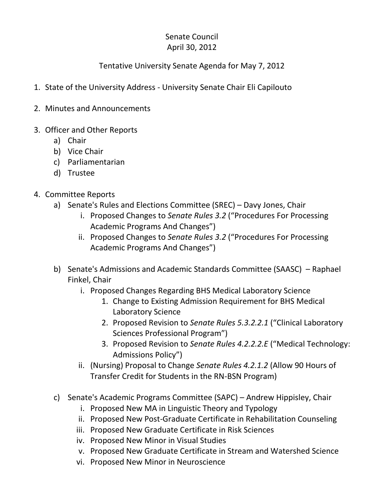## Senate Council April 30, 2012

## Tentative University Senate Agenda for May 7, 2012

- 1. State of the University Address University Senate Chair Eli Capilouto
- 2. Minutes and Announcements
- 3. Officer and Other Reports
	- a) Chair
	- b) Vice Chair
	- c) Parliamentarian
	- d) Trustee
- 4. Committee Reports
	- a) Senate's Rules and Elections Committee (SREC) Davy Jones, Chair
		- i. Proposed Changes to *Senate Rules 3.2* ("Procedures For Processing Academic Programs And Changes")
		- ii. Proposed Changes to *Senate Rules 3.2* ("Procedures For Processing Academic Programs And Changes")
	- b) Senate's Admissions and Academic Standards Committee (SAASC) Raphael Finkel, Chair
		- i. Proposed Changes Regarding BHS Medical Laboratory Science
			- 1. Change to Existing Admission Requirement for BHS Medical Laboratory Science
			- 2. Proposed Revision to *Senate Rules 5.3.2.2.1* ("Clinical Laboratory Sciences Professional Program")
			- 3. Proposed Revision to *Senate Rules 4.2.2.2.E* ("Medical Technology: Admissions Policy")
		- ii. (Nursing) Proposal to Change *Senate Rules 4.2.1.2* (Allow 90 Hours of Transfer Credit for Students in the RN-BSN Program)
	- c) Senate's Academic Programs Committee (SAPC) Andrew Hippisley, Chair
		- i. Proposed New MA in Linguistic Theory and Typology
		- ii. Proposed New Post-Graduate Certificate in Rehabilitation Counseling
		- iii. Proposed New Graduate Certificate in Risk Sciences
		- iv. Proposed New Minor in Visual Studies
		- v. Proposed New Graduate Certificate in Stream and Watershed Science
		- vi. Proposed New Minor in Neuroscience